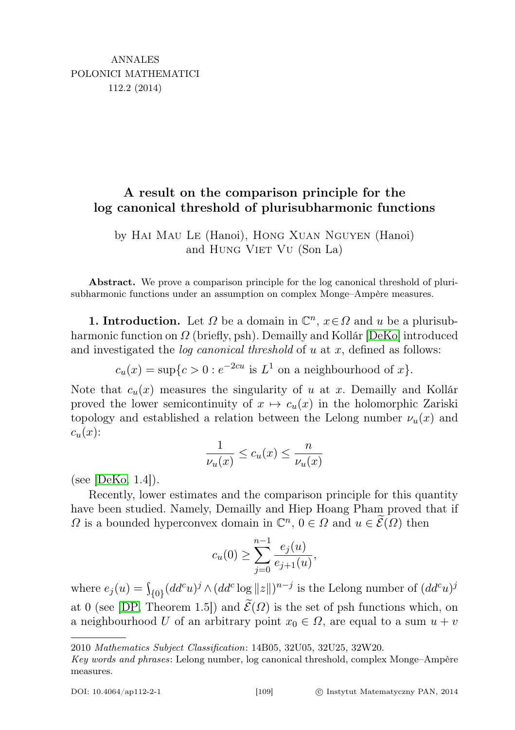## A result on the comparison principle for the log canonical threshold of plurisubharmonic functions

by Hai Mau Le (Hanoi), Hong Xuan Nguyen (Hanoi) and HUNG VIET VU (Son La)

Abstract. We prove a comparison principle for the log canonical threshold of plurisubharmonic functions under an assumption on complex Monge–Ampère measures.

**1. Introduction.** Let  $\Omega$  be a domain in  $\mathbb{C}^n$ ,  $x \in \Omega$  and u be a plurisubharmonic function on Ω (briefly, psh). Demailly and Kollár [\[DeKo\]](#page-5-0) introduced and investigated the *log canonical threshold* of  $u$  at  $x$ , defined as follows:

 $c_u(x) = \sup\{c > 0 : e^{-2cu} \text{ is } L^1 \text{ on a neighbourhood of } x\}.$ 

Note that  $c_u(x)$  measures the singularity of u at x. Demailly and Kollár proved the lower semicontinuity of  $x \mapsto c_u(x)$  in the holomorphic Zariski topology and established a relation between the Lelong number  $\nu_u(x)$  and  $c_u(x)$ :

$$
\frac{1}{\nu_u(x)} \le c_u(x) \le \frac{n}{\nu_u(x)}
$$

(see  $[DeK<sub>0</sub>, 1.4]$ ).

Recently, lower estimates and the comparison principle for this quantity have been studied. Namely, Demailly and Hiep Hoang Pham proved that if  $\Omega$  is a bounded hyperconvex domain in  $\mathbb{C}^n$ ,  $0 \in \Omega$  and  $u \in \widetilde{\mathcal{E}}(\Omega)$  then

$$
c_u(0) \ge \sum_{j=0}^{n-1} \frac{e_j(u)}{e_{j+1}(u)},
$$

where  $e_j(u) = \int_{\{0\}} (dd^c u)^j \wedge (dd^c \log ||z||)^{n-j}$  is the Lelong number of  $(dd^c u)^j$ at 0 (see [\[DP,](#page-5-1) Theorem 1.5]) and  $\widetilde{\mathcal{E}}(\Omega)$  is the set of psh functions which, on a neighbourhood U of an arbitrary point  $x_0 \in \Omega$ , are equal to a sum  $u + v$ 

<sup>2010</sup> Mathematics Subject Classification: 14B05, 32U05, 32U25, 32W20.

Key words and phrases: Lelong number, log canonical threshold, complex Monge–Ampère measures.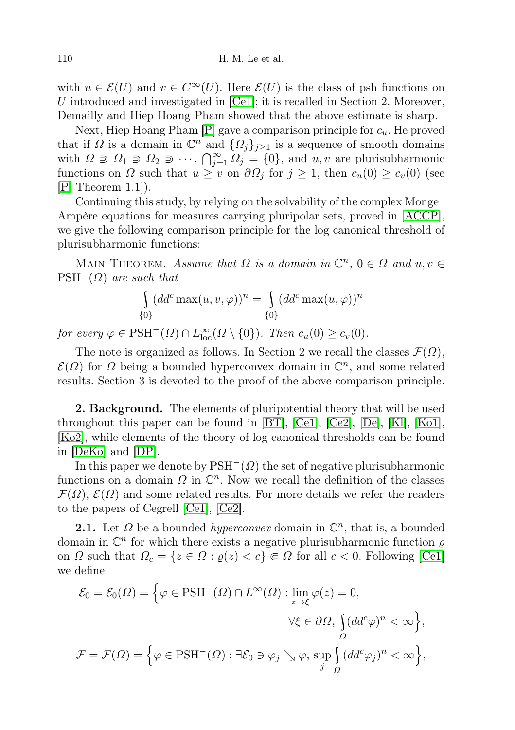with  $u \in \mathcal{E}(U)$  and  $v \in C^{\infty}(U)$ . Here  $\mathcal{E}(U)$  is the class of psh functions on U introduced and investigated in [\[Ce1\]](#page-4-0); it is recalled in Section 2. Moreover, Demailly and Hiep Hoang Pham showed that the above estimate is sharp.

Next, Hiep Hoang Pham  $[P]$  gave a comparison principle for  $c_u$ . He proved that if  $\Omega$  is a domain in  $\mathbb{C}^n$  and  $\{\Omega_j\}_{j\geq 1}$  is a sequence of smooth domains with  $\Omega \ni \Omega_1 \ni \Omega_2 \ni \cdots$ ,  $\bigcap_{j=1}^{\infty} \Omega_j = \{0\}$ , and  $u, v$  are plurisubharmonic functions on  $\Omega$  such that  $u \geq v$  on  $\partial \Omega_j$  for  $j \geq 1$ , then  $c_u(0) \geq c_v(0)$  (see  $[P, Theorem 1.1].$  $[P, Theorem 1.1].$ 

Continuing this study, by relying on the solvability of the complex Monge– Ampère equations for measures carrying pluripolar sets, proved in [\[ACCP\]](#page-4-1), we give the following comparison principle for the log canonical threshold of plurisubharmonic functions:

MAIN THEOREM. Assume that  $\Omega$  is a domain in  $\mathbb{C}^n$ ,  $0 \in \Omega$  and  $u, v \in \Omega$  $PSH^{-}(\Omega)$  are such that

$$
\int_{\{0\}} (dd^c \max(u, v, \varphi))^n = \int_{\{0\}} (dd^c \max(u, \varphi))^n
$$

for every  $\varphi \in \text{PSH}^-(\Omega) \cap L^{\infty}_{\text{loc}}(\Omega \setminus \{0\})$ . Then  $c_u(0) \geq c_v(0)$ .

The note is organized as follows. In Section 2 we recall the classes  $\mathcal{F}(\Omega)$ ,  $\mathcal{E}(\Omega)$  for  $\Omega$  being a bounded hyperconvex domain in  $\mathbb{C}^n$ , and some related results. Section 3 is devoted to the proof of the above comparison principle.

**2. Background.** The elements of pluripotential theory that will be used throughout this paper can be found in [\[BT\]](#page-4-2), [\[Ce1\]](#page-4-0), [\[Ce2\]](#page-4-3), [\[De\]](#page-5-3), [\[Kl\]](#page-5-4), [\[Ko1\]](#page-5-5), [\[Ko2\]](#page-5-6), while elements of the theory of log canonical thresholds can be found in [\[DeKo\]](#page-5-0) and [\[DP\]](#page-5-1).

In this paper we denote by  $PSH^{-}(\Omega)$  the set of negative plurisubharmonic functions on a domain  $\Omega$  in  $\mathbb{C}^n$ . Now we recall the definition of the classes  $\mathcal{F}(\Omega)$ ,  $\mathcal{E}(\Omega)$  and some related results. For more details we refer the readers to the papers of Cegrell [\[Ce1\]](#page-4-0), [\[Ce2\]](#page-4-3).

**2.1.** Let  $\Omega$  be a bounded *hyperconvex* domain in  $\mathbb{C}^n$ , that is, a bounded domain in  $\mathbb{C}^n$  for which there exists a negative plurisubharmonic function  $\varrho$ on  $\Omega$  such that  $\Omega_c = \{z \in \Omega : \varrho(z) < c\} \subseteq \Omega$  for all  $c < 0$ . Following [\[Ce1\]](#page-4-0) we define

$$
\mathcal{E}_0 = \mathcal{E}_0(\Omega) = \Big\{ \varphi \in \text{PSH}^-(\Omega) \cap L^{\infty}(\Omega) : \lim_{z \to \xi} \varphi(z) = 0,
$$
  

$$
\forall \xi \in \partial \Omega, \int_{\Omega} (dd^c \varphi)^n < \infty \Big\},\
$$

$$
\mathcal{F} = \mathcal{F}(\Omega) = \Big\{ \varphi \in \text{PSH}^-(\Omega) : \exists \mathcal{E}_0 \ni \varphi_j \searrow \varphi, \sup_j \int_{\Omega} (dd^c \varphi_j)^n < \infty \Big\},\
$$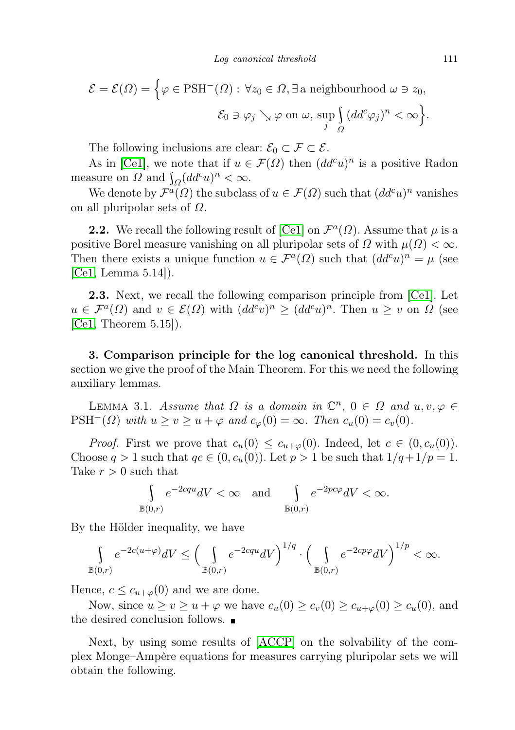$$
\mathcal{E} = \mathcal{E}(\Omega) = \Big\{ \varphi \in \text{PSH}^-(\Omega) : \forall z_0 \in \Omega, \exists \text{ a neighbourhood } \omega \ni z_0,
$$
  

$$
\mathcal{E}_0 \ni \varphi_j \searrow \varphi \text{ on } \omega, \sup_j \Big[ (dd^c \varphi_j)^n < \infty \Big\}.
$$

The following inclusions are clear:  $\mathcal{E}_0 \subset \mathcal{F} \subset \mathcal{E}$ .

As in [\[Ce1\]](#page-4-0), we note that if  $u \in \mathcal{F}(\Omega)$  then  $(dd^c u)^n$  is a positive Radon measure on  $\Omega$  and  $\int_{\Omega} (dd^c u)^n < \infty$ .

We denote by  $\mathcal{F}^a(\Omega)$  the subclass of  $u \in \mathcal{F}(\Omega)$  such that  $(dd^c u)^n$  vanishes on all pluripolar sets of  $\Omega$ .

**2.2.** We recall the following result of [\[Ce1\]](#page-4-0) on  $\mathcal{F}^a(\Omega)$ . Assume that  $\mu$  is a positive Borel measure vanishing on all pluripolar sets of  $\Omega$  with  $\mu(\Omega) < \infty$ . Then there exists a unique function  $u \in \mathcal{F}^a(\Omega)$  such that  $(dd^c u)^n = \mu$  (see [\[Ce1,](#page-4-0) Lemma 5.14]).

2.3. Next, we recall the following comparison principle from [\[Ce1\]](#page-4-0). Let  $u \in \mathcal{F}^a(\Omega)$  and  $v \in \mathcal{E}(\Omega)$  with  $(dd^c v)^n \geq (dd^c u)^n$ . Then  $u \geq v$  on  $\Omega$  (see  $[Ce1, Theorem 5.15]$  $[Ce1, Theorem 5.15]$ .

3. Comparison principle for the log canonical threshold. In this section we give the proof of the Main Theorem. For this we need the following auxiliary lemmas.

<span id="page-2-0"></span>LEMMA 3.1. Assume that  $\Omega$  is a domain in  $\mathbb{C}^n$ ,  $0 \in \Omega$  and  $u, v, \varphi \in \Omega$ PSH<sup> $^-(\Omega)$ </sup> with  $u \ge v \ge u + \varphi$  and  $c_{\varphi}(0) = \infty$ . Then  $c_u(0) = c_v(0)$ .

*Proof.* First we prove that  $c_u(0) \leq c_{u+\varphi}(0)$ . Indeed, let  $c \in (0, c_u(0))$ . Choose  $q > 1$  such that  $qc \in (0, c_u(0))$ . Let  $p > 1$  be such that  $1/q+1/p = 1$ . Take  $r > 0$  such that

$$
\int_{\mathbb{B}(0,r)} e^{-2cqu} dV < \infty \quad \text{and} \quad \int_{\mathbb{B}(0,r)} e^{-2pc\varphi} dV < \infty.
$$

By the Hölder inequality, we have

$$
\int_{\mathbb{B}(0,r)} e^{-2c(u+\varphi)} dV \le \left(\int_{\mathbb{B}(0,r)} e^{-2cqu} dV\right)^{1/q} \cdot \left(\int_{\mathbb{B}(0,r)} e^{-2cp\varphi} dV\right)^{1/p} < \infty.
$$

Hence,  $c \leq c_{u+\varphi}(0)$  and we are done.

Now, since  $u \ge v \ge u + \varphi$  we have  $c_u(0) \ge c_v(0) \ge c_{u+\varphi}(0) \ge c_u(0)$ , and the desired conclusion follows.

Next, by using some results of [\[ACCP\]](#page-4-1) on the solvability of the complex Monge–Ampère equations for measures carrying pluripolar sets we will obtain the following.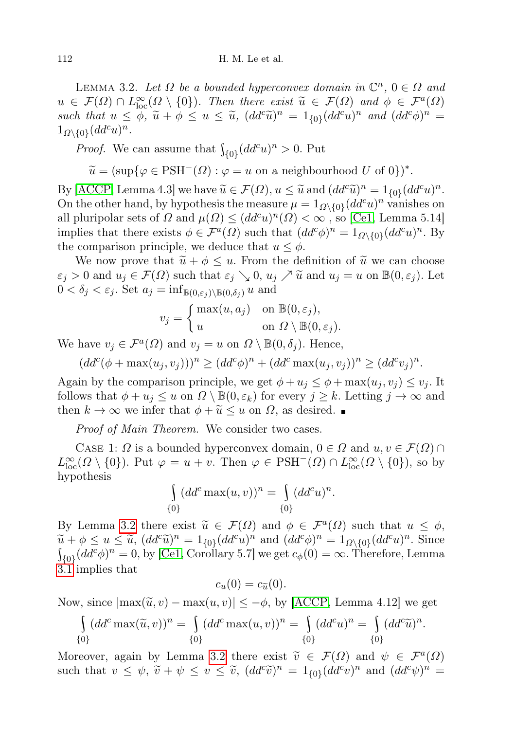<span id="page-3-0"></span>LEMMA 3.2. Let  $\Omega$  be a bounded hyperconvex domain in  $\mathbb{C}^n$ ,  $0 \in \Omega$  and  $u \in \mathcal{F}(\Omega) \cap L^{\infty}_{loc}(\Omega \setminus \{0\})$ . Then there exist  $\widetilde{u} \in \mathcal{F}(\Omega)$  and  $\phi \in \mathcal{F}^{a}(\Omega)$ <br>cyclothes  $u \leq \widetilde{\phi}$ ,  $\widetilde{u} \leq u \leq \widetilde{u}$ ,  $(dd^c \widetilde{u})^n = 1$  so  $(dd^c u)^n$  and  $(dd^c \phi)^n =$ such that  $u \leq \phi$ ,  $\widetilde{u} + \phi \leq u \leq \widetilde{u}$ ,  $(dd^c \widetilde{u})^n = 1_{\{0\}}(dd^c u)^n$  and  $(dd^c \phi)^n =$ <br> $\frac{1}{\phi} \int_{-\infty}^{\infty} (dd^c u)^n$  $1_{\Omega\setminus\{0\}}(dd^c u)^n$ .

*Proof.* We can assume that  $\int_{\{0\}} (dd^c u)^n > 0$ . Put

 $\widetilde{u} = (\sup \{ \varphi \in \text{PSH}^{-}(\Omega) : \varphi = u \text{ on a neighbourhood } U \text{ of } 0 \})^*.$ 

By [\[ACCP,](#page-4-1) Lemma 4.3] we have  $\widetilde{u} \in \mathcal{F}(\Omega)$ ,  $u \leq \widetilde{u}$  and  $(dd^c\widetilde{u})^n = 1_{\{0\}}(dd^c u)^n$ .<br>On the other hand, by hypothesis the measure  $u = 1$  as  $\omega (dd^c u)^n$  vanishes on On the other hand, by hypothesis the measure  $\mu = 1_{\Omega \setminus \{0\}} (dd^c u)^n$  vanishes on all pluripolar sets of  $\Omega$  and  $\mu(\Omega) \leq (dd^c u)^n(\Omega) < \infty$ , so [\[Ce1,](#page-4-0) Lemma 5.14] implies that there exists  $\phi \in \mathcal{F}^a(\Omega)$  such that  $(dd^c\phi)^n = 1_{\Omega \setminus \{0\}}(dd^c u)^n$ . By the comparison principle, we deduce that  $u \leq \phi$ .

We now prove that  $\tilde{u} + \phi \leq u$ . From the definition of  $\tilde{u}$  we can choose  $\varepsilon_j > 0$  and  $u_j \in \mathcal{F}(\Omega)$  such that  $\varepsilon_j \searrow 0$ ,  $u_j \nearrow \widetilde{u}$  and  $u_j = u$  on  $\mathbb{B}(0, \varepsilon_j)$ . Let  $0 < \delta_j < \varepsilon_j$ . Set  $a_j = \inf_{\mathbb{B}(0,\varepsilon_j)\setminus \mathbb{B}(0,\delta_j)} u$  and

$$
v_j = \begin{cases} \max(u, a_j) & \text{on } \mathbb{B}(0, \varepsilon_j), \\ u & \text{on } \Omega \setminus \mathbb{B}(0, \varepsilon_j). \end{cases}
$$

We have  $v_j \in \mathcal{F}^a(\Omega)$  and  $v_j = u$  on  $\Omega \setminus \mathbb{B}(0, \delta_j)$ . Hence,

 $(dd^c(\phi + \max(u_j, v_j)))^n \geq (dd^c \phi)^n + (dd^c \max(u_j, v_j))^n \geq (dd^c v_j)^n.$ 

Again by the comparison principle, we get  $\phi + u_i \leq \phi + \max(u_i, v_i) \leq v_i$ . It follows that  $\phi + u_j \leq u$  on  $\Omega \setminus \mathbb{B}(0, \varepsilon_k)$  for every  $j \geq k$ . Letting  $j \to \infty$  and then  $k \to \infty$  we infer that  $\phi + \widetilde{u} \leq u$  on  $\Omega$ , as desired.

Proof of Main Theorem. We consider two cases.

CASE 1:  $\Omega$  is a bounded hyperconvex domain,  $0 \in \Omega$  and  $u, v \in \mathcal{F}(\Omega) \cap$  $L^{\infty}_{loc}(\Omega \setminus \{0\})$ . Put  $\varphi = u + v$ . Then  $\varphi \in PSH^{-}(\Omega) \cap L^{\infty}_{loc}(\Omega \setminus \{0\})$ , so by hypothesis

$$
\int_{\{0\}} (dd^c \max(u, v))^n = \int_{\{0\}} (dd^c u)^n.
$$

By Lemma [3.2](#page-3-0) there exist  $\widetilde{u} \in \mathcal{F}(\Omega)$  and  $\phi \in \mathcal{F}^a(\Omega)$  such that  $u \leq \phi$ ,<br> $\widetilde{u} + \phi \leq u \leq \widetilde{u}$   $(dd^c\widetilde{u})^n = 1$  so  $(dd^c\widetilde{u})^n$  and  $(dd^c\widetilde{u})^n = 1$  so  $(dd^c\widetilde{u})^n$ . Since  $\widetilde{u} + \phi \leq u \leq \widetilde{u}$ ,  $(dd^c\widetilde{u})^n = 1_{\{0\}}(dd^c u)^n$  and  $(dd^c\phi)^n = 1_{\Omega\setminus\{0\}}(dd^c u)^n$ . Since  $\int_{\{0\}} (dd^c \phi)^n = 0$ , by [\[Ce1,](#page-4-0) Corollary 5.7] we get  $c_\phi(0) = \infty$ . Therefore, Lemma [3.1](#page-2-0) implies that

$$
c_u(0) = c_{\widetilde{u}}(0).
$$

Now, since  $|\max(\tilde{u}, v) - \max(u, v)| \leq -\phi$ , by [\[ACCP,](#page-4-1) Lemma 4.12] we get

$$
\int_{\{0\}} (dd^c \max(\tilde{u}, v))^n = \int_{\{0\}} (dd^c \max(u, v))^n = \int_{\{0\}} (dd^c u)^n = \int_{\{0\}} (dd^c \tilde{u})^n.
$$

Moreover, again by Lemma [3.2](#page-3-0) there exist  $\tilde{v} \in \mathcal{F}(\Omega)$  and  $\psi \in \mathcal{F}^a(\Omega)$ <br>such that  $v \leq \psi \tilde{v} + \psi \leq v \leq \tilde{v}$  (dd<sup>c</sup>i)<sup>n</sup> = 1 is (dd<sup>c</sup>i)<sup>n</sup> and (dd<sup>c</sup>i)<sup>n</sup> = such that  $v \leq \psi$ ,  $\tilde{v} + \psi \leq v \leq \tilde{v}$ ,  $(dd^c\tilde{v})^n = 1_{\{0\}}(dd^c v)^n$  and  $(dd^c\psi)^n =$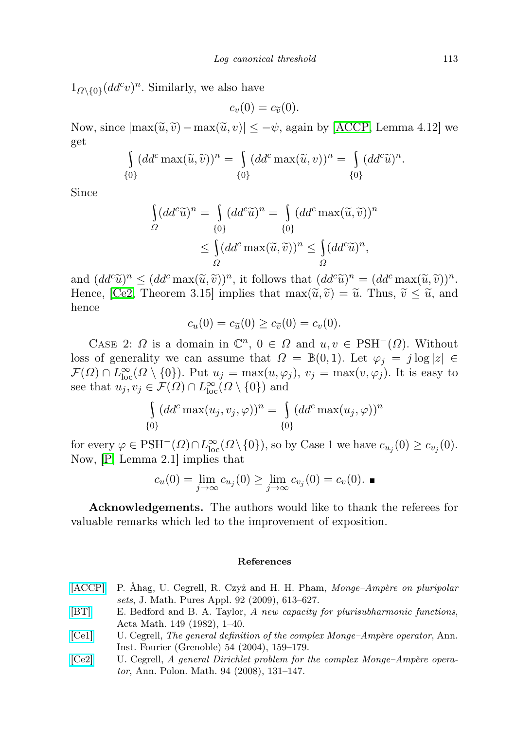$1_{\Omega\setminus\{0\}}(dd^cv)^n$ . Similarly, we also have

$$
c_v(0)=c_{\widetilde{v}}(0).
$$

Now, since  $|\max(\tilde{u}, \tilde{v}) - \max(\tilde{u}, v)| \leq -\psi$ , again by [\[ACCP,](#page-4-1) Lemma 4.12] we get

$$
\int_{\{0\}} (dd^c \max(\widetilde{u}, \widetilde{v}))^n = \int_{\{0\}} (dd^c \max(\widetilde{u}, v))^n = \int_{\{0\}} (dd^c \widetilde{u})^n.
$$

Since

$$
\begin{aligned}\n\int_{\Omega} (dd^c \widetilde{u})^n &= \int_{\{0\}} (dd^c \widetilde{u})^n = \int_{\{0\}} (dd^c \max(\widetilde{u}, \widetilde{v}))^n \\
&\le \int_{\Omega} (dd^c \max(\widetilde{u}, \widetilde{v}))^n \le \int_{\Omega} (dd^c \widetilde{u})^n,\n\end{aligned}
$$

and  $(dd^c\widetilde{u})^n \leq (dd^c \max(\widetilde{u}, \widetilde{v}))^n$ , it follows that  $(dd^c\widetilde{u})^n = (dd^c \max(\widetilde{u}, \widetilde{v}))^n$ .<br>Hence  $\int$ Ce<sup>2</sup> Theorem 3.15 implies that  $\max(\widetilde{u}, \widetilde{v}) - \widetilde{u}$  Thus  $\widetilde{u} \leq \widetilde{u}$  and Hence, [\[Ce2,](#page-4-3) Theorem 3.15] implies that  $\max(\tilde{u}, \tilde{v}) = \tilde{u}$ . Thus,  $\tilde{v} \leq \tilde{u}$ , and hence

$$
c_u(0) = c_{\tilde{u}}(0) \ge c_{\tilde{v}}(0) = c_v(0).
$$

CASE 2:  $\Omega$  is a domain in  $\mathbb{C}^n$ ,  $0 \in \Omega$  and  $u, v \in PSH^{-}(\Omega)$ . Without loss of generality we can assume that  $\Omega = \mathbb{B}(0,1)$ . Let  $\varphi_j = j \log |z| \in$  $\mathcal{F}(\Omega) \cap L^{\infty}_{loc}(\Omega \setminus \{0\})$ . Put  $u_j = \max(u,\varphi_j), v_j = \max(v,\varphi_j)$ . It is easy to see that  $u_j, v_j \in \mathcal{F}(\Omega) \cap L^{\infty}_{loc}(\Omega \setminus \{0\})$  and

$$
\int_{\{0\}} (dd^c \max(u_j, v_j, \varphi))^n = \int_{\{0\}} (dd^c \max(u_j, \varphi))^n
$$

for every  $\varphi \in \text{PSH}^-(\Omega) \cap L^{\infty}_{\text{loc}}(\Omega \setminus \{0\}),$  so by Case 1 we have  $c_{u_j}(0) \geq c_{v_j}(0)$ . Now, [\[P,](#page-5-2) Lemma 2.1] implies that

$$
c_u(0) = \lim_{j \to \infty} c_{u_j}(0) \ge \lim_{j \to \infty} c_{v_j}(0) = c_v(0). \blacksquare
$$

Acknowledgements. The authors would like to thank the referees for valuable remarks which led to the improvement of exposition.

## References

- <span id="page-4-1"></span>[\[ACCP\]](http://dx.doi.org/10.1016/j.matpur.2009.06.001) P. Åhag, U. Cegrell, R. Czyż and H. H. Pham, Monge–Ampère on pluripolar sets, J. Math. Pures Appl. 92 (2009), 613–627.
- <span id="page-4-2"></span>[\[BT\]](http://dx.doi.org/10.1007/BF02392348) E. Bedford and B. A. Taylor, A new capacity for plurisubharmonic functions, Acta Math. 149 (1982), 1–40.
- <span id="page-4-0"></span>[\[Ce1\]](http://dx.doi.org/10.5802/aif.2014) U. Cegrell, The general definition of the complex Monge–Ampère operator, Ann. Inst. Fourier (Grenoble) 54 (2004), 159–179.
- <span id="page-4-3"></span>[\[Ce2\]](http://dx.doi.org/10.4064/ap94-2-3) U. Cegrell, A general Dirichlet problem for the complex Monge–Ampère operator, Ann. Polon. Math. 94 (2008), 131–147.